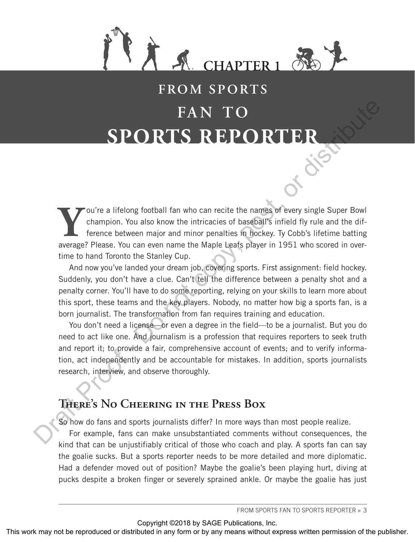

# **FROM SPORTS FAN TO SPORTS REPORTE**

**You're a lifelong football fan who can recite the names of every single Super Bowl<br>champion. You also know the intricacies of baseball's infield fly rule and the dif-<br>ference between major and minor penalties in hockey. T** champion. You also know the intricacies of baseball's infield fly rule and the difference between major and minor penalties in hockey. Ty Cobb's lifetime batting average? Please. You can even name the Maple Leafs player in 1951 who scored in overtime to hand Toronto the Stanley Cup. This work may not be reproduced or distributed in any form or be reproduced or distributed in any form or any means without express the proof or the publisher. This was not be reproduced in any form or be reproduced by any

And now you've landed your dream job, covering sports. First assignment: field hockey. Suddenly, you don't have a clue. Can't tell the difference between a penalty shot and a penalty corner. You'll have to do some reporting, relying on your skills to learn more about this sport, these teams and the key players. Nobody, no matter how big a sports fan, is a born journalist. The transformation from fan requires training and education.

You don't need a license—or even a degree in the field—to be a journalist. But you do need to act like one. And journalism is a profession that requires reporters to seek truth and report it; to provide a fair, comprehensive account of events; and to verify information, act independently and be accountable for mistakes. In addition, sports journalists research, interview, and observe thoroughly.

# **There's No Cheering in the Press Box**

So how do fans and sports journalists differ? In more ways than most people realize.

For example, fans can make unsubstantiated comments without consequences, the kind that can be unjustifiably critical of those who coach and play. A sports fan can say the goalie sucks. But a sports reporter needs to be more detailed and more diplomatic. Had a defender moved out of position? Maybe the goalie's been playing hurt, diving at pucks despite a broken finger or severely sprained ankle. Or maybe the goalie has just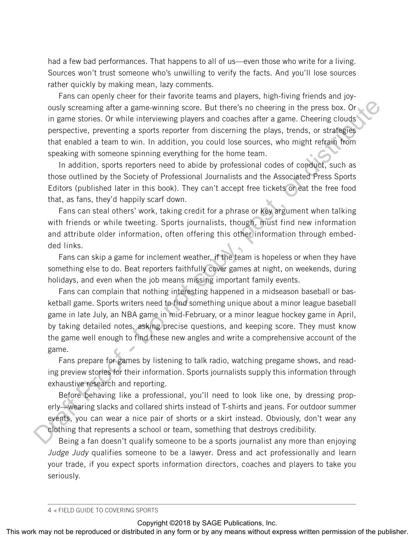had a few bad performances. That happens to all of us—even those who write for a living. Sources won't trust someone who's unwilling to verify the facts. And you'll lose sources rather quickly by making mean, lazy comments.

Fans can openly cheer for their favorite teams and players, high-fiving friends and joyously screaming after a game-winning score. But there's no cheering in the press box. Or in game stories. Or while interviewing players and coaches after a game. Cheering clouds perspective, preventing a sports reporter from discerning the plays, trends, or strategies that enabled a team to win. In addition, you could lose sources, who might refrain from speaking with someone spinning everything for the home team.

In addition, sports reporters need to abide by professional codes of conduct, such as those outlined by the Society of Professional Journalists and the Associated Press Sports Editors (published later in this book). They can't accept free tickets or eat the free food that, as fans, they'd happily scarf down.

Fans can steal others' work, taking credit for a phrase or key argument when talking with friends or while tweeting. Sports journalists, though, must find new information and attribute older information, often offering this other information through embedded links.

Fans can skip a game for inclement weather, if the team is hopeless or when they have something else to do. Beat reporters faithfully cover games at night, on weekends, during holidays, and even when the job means missing important family events.

Fans can complain that nothing interesting happened in a midseason baseball or basketball game. Sports writers need to find something unique about a minor league baseball game in late July, an NBA game in mid-February, or a minor league hockey game in April, by taking detailed notes, asking precise questions, and keeping score. They must know the game well enough to find these new angles and write a comprehensive account of the game. outly treated or distributed or distributed some first there is no checking in the publisher and the publisher and the most means when the publisher of the publisher of the publisher. The publisher of the publisher of the

Fans prepare for games by listening to talk radio, watching pregame shows, and reading preview stories for their information. Sports journalists supply this information through exhaustive research and reporting.

Before behaving like a professional, you'll need to look like one, by dressing properly—wearing slacks and collared shirts instead of T-shirts and jeans. For outdoor summer events, you can wear a nice pair of shorts or a skirt instead. Obviously, don't wear any clothing that represents a school or team, something that destroys credibility.

Being a fan doesn't qualify someone to be a sports journalist any more than enjoying *Judge Judy* qualifies someone to be a lawyer. Dress and act professionally and learn your trade, if you expect sports information directors, coaches and players to take you seriously.

<sup>4</sup> FIELD GUIDE TO COVERING SPORTS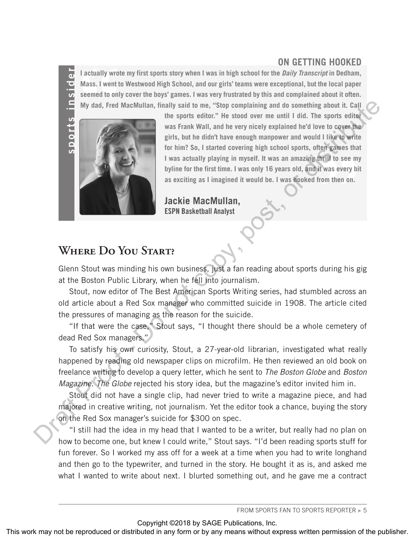#### **ON GETTING HOOKED**

**I actually wrote my first sports story when I was in high school for the** *Daily Transcript* **in Dedham, Mass. I went to Westwood High School, and our girls' teams were exceptional, but the local paper seemed to only cover the boys' games. I was very frustrated by this and complained about it often. My dad, Fred MacMullan, finally said to me, "Stop complaining and do something about it. Call** 



**thrill** to see my<br>**t** was every bit<br>from then on. **the sports editor.'' He stood over me until I did. The sports editor was Frank Wall, and he very nicely explained he'd love to cover the girls, but he didn't have enough manpower and would I like to write for him? So, I started covering high school sports, often games that I was actually playing in myself. It was an amazing thrill to see my byline for the first time. I was only 16 years old, and it was every bit as exciting as I imagined it would be. I was hooked from then on.**

**Jackie MacMullan,** ESPN Basketball Analyst

# **Where Do You Start?**

Glenn Stout was minding his own business, just a fan reading about sports during his gig at the Boston Public Library, when he fell into journalism.

Stout, now editor of The Best American Sports Writing series, had stumbled across an old article about a Red Sox manager who committed suicide in 1908. The article cited the pressures of managing as the reason for the suicide.

"If that were the case," Stout says, "I thought there should be a whole cemetery of dead Red Sox managers."

To satisfy his own curiosity, Stout, a 27-year-old librarian, investigated what really happened by reading old newspaper clips on microfilm. He then reviewed an old book on freelance writing to develop a query letter, which he sent to *The Boston Globe* and *Boston Magazine. The Globe* rejected his story idea, but the magazine's editor invited him in.

Stout did not have a single clip, had never tried to write a magazine piece, and had majored in creative writing, not journalism. Yet the editor took a chance, buying the story on the Red Sox manager's suicide for \$300 on spec.

"I still had the idea in my head that I wanted to be a writer, but really had no plan on how to become one, but knew I could write," Stout says. "I'd been reading sports stuff for fun forever. So I worked my ass off for a week at a time when you had to write longhand and then go to the typewriter, and turned in the story. He bought it as is, and asked me what I wanted to write about next. I blurted something out, and he gave me a contract This work may not be the common the reproduced or distributed in any film and the reproduced or distributed in any means without expression of the publisher or between the publishers and the publisher or between the state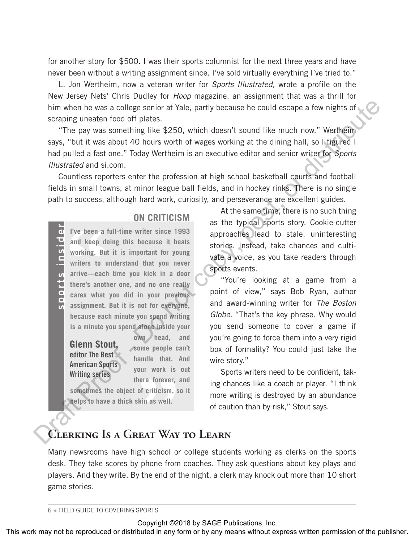for another story for \$500. I was their sports columnist for the next three years and have never been without a writing assignment since. I've sold virtually everything I've tried to."

L. Jon Wertheim, now a veteran writer for *Sports Illustrated,* wrote a profile on the New Jersey Nets' Chris Dudley for *Hoop* magazine, an assignment that was a thrill for him when he was a college senior at Yale, partly because he could escape a few nights of scraping uneaten food off plates.

"The pay was something like \$250, which doesn't sound like much now," Wertheim says, "but it was about 40 hours worth of wages working at the dining hall, so I figured I had pulled a fast one." Today Wertheim is an executive editor and senior writer for *Sports Illustrated* and si.com.

Countless reporters enter the profession at high school basketball courts and football fields in small towns, at minor league ball fields, and in hockey rinks. There is no single path to success, although hard work, curiosity, and perseverance are excellent guides.

For the last the stories.<br>
The stories working<br>
strive<br>
stories are stories.<br>
Solid a minimal different different<br>
stories.<br>
Solid a minimal difference<br>
stories.<br>
Solid a minimal different different different<br>
stories.<br>
An I've been a 1<br>and keep do<br>working. But<br>writers to u<br>arrive—each<br>there's anoth<br>cares what<br>assignment.<br>become one **I've been a full-time writer since 1993 and keep doing this because it beats working. But it is important for young writers to understand that you never arrive—each time you kick in a door there's another one, and no one really cares what you did in your previous assignment. But it is not for everyone, because each minute you spend writing is a minute you spend alone inside your**  From the way a college series or distributed in any form or by any means when the reproduced or distributed in any means when the publisher of the publisher of the publisher. The publisher of the publisher of the publishe

**Glenn Stout,**  editor The Best American Sports Writing series

**own head, and some people can't handle that. And your work is out there forever, and** 

**ON CRITICISM**

Figure forever,<br>**Example 18 Set of criticism**, s<br>**EAT WAY**<br>Bend from the school of the school of the school of the school of the school of the school of the school. **sometimes the object of criticism, so it helps to have a thick skin as well.**

At the same time, there is no such thing as the typical sports story. Cookie-cutter approaches lead to stale, uninteresting stories. Instead, take chances and cultivate a voice, as you take readers through sports events.

"You're looking at a game from a point of view," says Bob Ryan, author and award-winning writer for *The Boston Globe.* "That's the key phrase. Why would you send someone to cover a game if you're going to force them into a very rigid box of formality? You could just take the wire story."

Sports writers need to be confident, taking chances like a coach or player. "I think more writing is destroyed by an abundance of caution than by risk," Stout says.

### **Clerking Is a Great Way to Learn**

Many newsrooms have high school or college students working as clerks on the sports desk. They take scores by phone from coaches. They ask questions about key plays and players. And they write. By the end of the night, a clerk may knock out more than 10 short

<sup>6 -</sup> FIELD GUIDE TO COVERING SPORTS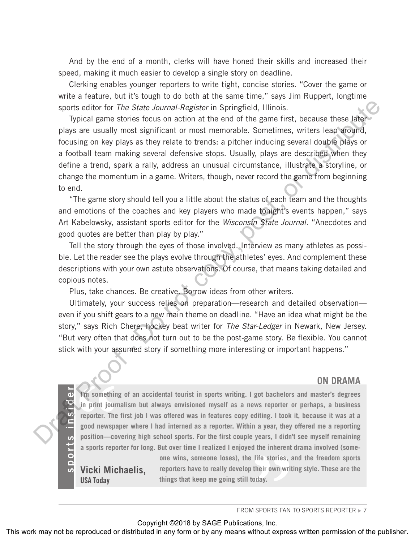And by the end of a month, clerks will have honed their skills and increased their speed, making it much easier to develop a single story on deadline.

Clerking enables younger reporters to write tight, concise stories. "Cover the game or write a feature, but it's tough to do both at the same time," says Jim Ruppert, longtime sports editor for *The State Journal-Register* in Springfield, Illinois.

Typical game stories focus on action at the end of the game first, because these later plays are usually most significant or most memorable. Sometimes, writers leap around, focusing on key plays as they relate to trends: a pitcher inducing several double plays or a football team making several defensive stops. Usually, plays are described when they define a trend, spark a rally, address an unusual circumstance, illustrate a storyline, or change the momentum in a game. Writers, though, never record the game from beginning to end. This work may not be reproduced or the reproduced or distributed in any content or any form or by any content or any means with the same institute of the publisher. This was a broad team means were stay if the publisher. T

"The game story should tell you a little about the status of each team and the thoughts and emotions of the coaches and key players who made tonight's events happen," says Art Kabelowsky, assistant sports editor for the *Wisconsin State Journal.* "Anecdotes and good quotes are better than play by play."

Tell the story through the eyes of those involved. Interview as many athletes as possible. Let the reader see the plays evolve through the athletes' eyes. And complement these descriptions with your own astute observations. Of course, that means taking detailed and copious notes.

Plus, take chances. Be creative. Borrow ideas from other writers.

Ultimately, your success relies on preparation—research and detailed observation even if you shift gears to a new main theme on deadline. "Have an idea what might be the story," says Rich Chere, hockey beat writer for *The Star-Ledger* in Newark, New Jersey. "But very often that does not turn out to be the post-game story. Be flexible. You cannot stick with your assumed story if something more interesting or important happens."

#### **ON DRAMA**

**Sports in print journant**<br>in print journal<br>reporter. The<br>good newspace<br>position—co<br>a sports repo<br>**C**<br>Vicki Mic **I'm something of an accidental tourist in sports writing. I got bachelors and master's degrees in print journalism but always envisioned myself as a news reporter or perhaps, a business reporter. The first job I was offered was in features copy editing. I took it, because it was at a good newspaper where I had interned as a reporter. Within a year, they offered me a reporting position—covering high school sports. For the first couple years, I didn't see myself remaining a sports reporter for long. But over time I realized I enjoyed the inherent drama involved (some-**

**Vicki Michaelis,** USA Today

life stories, a<br>their own writ<br>coday.<br>A SPORTS FAN<br>A SPORTS FAN<br>cithout expres **one wins, someone loses), the life stories, and the freedom sports reporters have to really develop their own writing style. These are the things that keep me going still today.**

FROM SPORTS FAN TO SPORTS REPORTER  $\triangleright$  7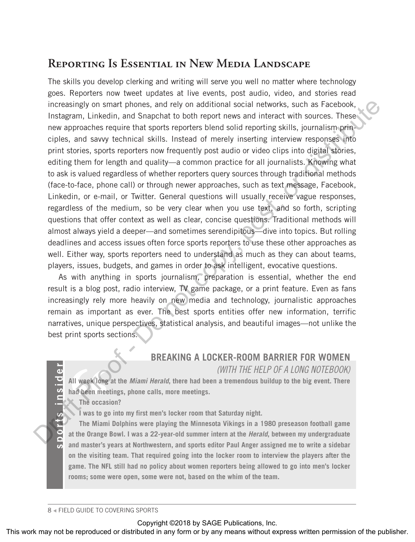## **Reporting Is Essential in New Media Landscape**

The skills you develop clerking and writing will serve you well no matter where technology goes. Reporters now tweet updates at live events, post audio, video, and stories read increasingly on smart phones, and rely on additional social networks, such as Facebook, Instagram, Linkedin, and Snapchat to both report news and interact with sources. These new approaches require that sports reporters blend solid reporting skills, journalism principles, and savvy technical skills. Instead of merely inserting interview responses into print stories, sports reporters now frequently post audio or video clips into digital stories, editing them for length and quality—a common practice for all journalists. Knowing what to ask is valued regardless of whether reporters query sources through traditional methods (face-to-face, phone call) or through newer approaches, such as text message, Facebook, Linkedin, or e-mail, or Twitter. General questions will usually receive vague responses, regardless of the medium, so be very clear when you use text, and so forth, scripting questions that offer context as well as clear, concise questions. Traditional methods will almost always yield a deeper—and sometimes serendipitous—dive into topics. But rolling deadlines and access issues often force sports reporters to use these other approaches as well. Either way, sports reporters need to understand as much as they can about teams, players, issues, budgets, and games in order to ask intelligent, evocative questions. increasingly an small plotons, and reproduced or distributed isotic incordinal scheme. These Corolox means were controlled resolution that space through the publisher. In the publisher of the publisher incorrection of the

As with anything in sports journalism, preparation is essential, whether the end result is a blog post, radio interview, TV game package, or a print feature. Even as fans increasingly rely more heavily on new media and technology, journalistic approaches remain as important as ever. The best sports entities offer new information, terrific narratives, unique perspectives, statistical analysis, and beautiful images—not unlike the best print sports sections.

# **BREAKING A LOCKER-ROOM BARRIER FOR WOMEN**

*(WITH THE HELP OF A LONG NOTEBOOK)*

**All week long at the** *Miami Herald***, there had been a tremendous buildup to the big event. There had been meetings, phone calls, more meetings.**

**The occasion?**

**I was to go into my first men's locker room that Saturday night.**

**Sports I**<br>**C** All week long<br>and been meer<br>**The occasion is a constructed**<br>**C** and master's y **The Miami Dolphins were playing the Minnesota Vikings in a 1980 preseason football game at the Orange Bowl. I was a 22-year-old summer intern at the** *Herald***, between my undergraduate and master's years at Northwestern, and sports editor Paul Anger assigned me to write a sidebar on the visiting team. That required going into the locker room to interview the players after the game. The NFL still had no policy about women reporters being allowed to go into men's locker rooms; some were open, some were not, based on the whim of the team.**

8 + FIFLD GUIDE TO COVERING SPORTS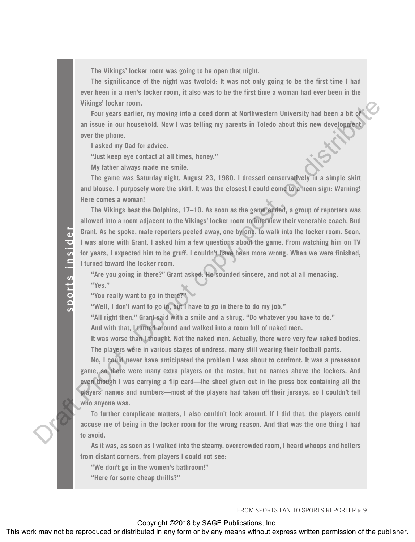**The Vikings' locker room was going to be open that night.**

**The significance of the night was twofold: It was not only going to be the first time I had ever been in a men's locker room, it also was to be the first time a woman had ever been in the Vikings' locker room.**

**Four years earlier, my moving into a coed dorm at Northwestern University had been a bit of an issue in our household. Now I was telling my parents in Toledo about this new development over the phone.**

**I asked my Dad for advice.**

**"Just keep eye contact at all times, honey."**

**My father always made me smile.**

**The game was Saturday night, August 23, 1980. I dressed conservatively in a simple skirt and blouse. I purposely wore the skirt. It was the closest I could come to a neon sign: Warning! Here comes a woman!**

**The Vikings beat the Dolphins, 17–10. As soon as the game ended, a group of reporters was allowed into a room adjacent to the Vikings' locker room to interview their venerable coach, Bud Grant. As he spoke, male reporters peeled away, one by one, to walk into the locker room. Soon, I was alone with Grant. I asked him a few questions about the game. From watching him on TV for years, I expected him to be gruff. I couldn't have been more wrong. When we were finished, I turned toward the locker room.** Whis <sup>or l</sup>ocal content may not be reproduced or the publisher or distributed in any form or by any form or by any means without express the reproduced or the publisher and the publisher and the angle station or distribut

**"Are you going in there?" Grant asked. He sounded sincere, and not at all menacing. "Yes."**

**"You really want to go in there?"**

**"Well, I don't want to go in, but I have to go in there to do my job."**

**"All right then," Grant said with a smile and a shrug. "Do whatever you have to do."**

**And with that, I turned around and walked into a room full of naked men.**

**It was worse than I thought. Not the naked men. Actually, there were very few naked bodies. The players were in various stages of undress, many still wearing their football pants.**

**No, I could never have anticipated the problem I was about to confront. It was a preseason game, so there were many extra players on the roster, but no names above the lockers. And even though I was carrying a flip card—the sheet given out in the press box containing all the players' names and numbers—most of the players had taken off their jerseys, so I couldn't tell who anyone was.**

**To further complicate matters, I also couldn't look around. If I did that, the players could accuse me of being in the locker room for the wrong reason. And that was the one thing I had to avoid.**

**As it was, as soon as I walked into the steamy, overcrowded room, I heard whoops and hollers from distant corners, from players I could not see:**

**"We don't go in the women's bathroom!"**

**"Here for some cheap thrills?"**

FROM SPORTS FAN TO SPORTS REPORTER  $\triangleright$  9